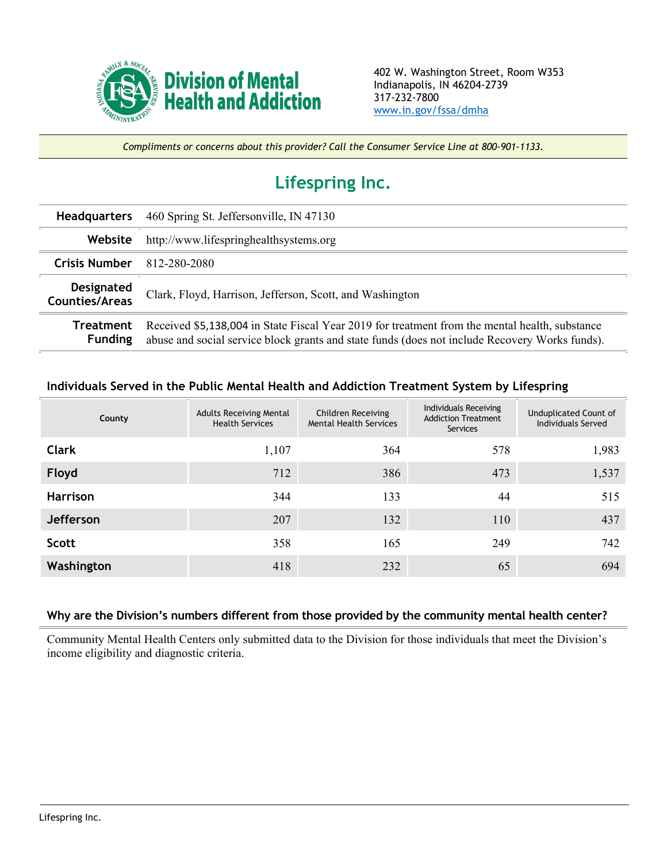

*Compliments or concerns about this provider? Call the Consumer Service Line at 800-901-1133.*

## **Lifespring Inc.**

| <b>Headquarters</b>                        | 460 Spring St. Jeffersonville, IN 47130                                                                                                                                                          |
|--------------------------------------------|--------------------------------------------------------------------------------------------------------------------------------------------------------------------------------------------------|
| Website                                    | http://www.lifespringhealthsystems.org                                                                                                                                                           |
| <b>Crisis Number</b>                       | 812-280-2080                                                                                                                                                                                     |
| <b>Designated</b><br><b>Counties/Areas</b> | Clark, Floyd, Harrison, Jefferson, Scott, and Washington                                                                                                                                         |
| Treatment<br><b>Funding</b>                | Received \$5,138,004 in State Fiscal Year 2019 for treatment from the mental health, substance<br>abuse and social service block grants and state funds (does not include Recovery Works funds). |

## **Individuals Served in the Public Mental Health and Addiction Treatment System by Lifespring**

| County          | <b>Adults Receiving Mental</b><br><b>Health Services</b> | <b>Children Receiving</b><br><b>Mental Health Services</b> | Individuals Receiving<br><b>Addiction Treatment</b><br>Services | Unduplicated Count of<br>Individuals Served |
|-----------------|----------------------------------------------------------|------------------------------------------------------------|-----------------------------------------------------------------|---------------------------------------------|
| <b>Clark</b>    | 1,107                                                    | 364                                                        | 578                                                             | 1,983                                       |
| Floyd           | 712                                                      | 386                                                        | 473                                                             | 1,537                                       |
| <b>Harrison</b> | 344                                                      | 133                                                        | 44                                                              | 515                                         |
| Jefferson       | 207                                                      | 132                                                        | 110                                                             | 437                                         |
| <b>Scott</b>    | 358                                                      | 165                                                        | 249                                                             | 742                                         |
| Washington      | 418                                                      | 232                                                        | 65                                                              | 694                                         |

## **Why are the Division's numbers different from those provided by the community mental health center?**

Community Mental Health Centers only submitted data to the Division for those individuals that meet the Division's income eligibility and diagnostic criteria.